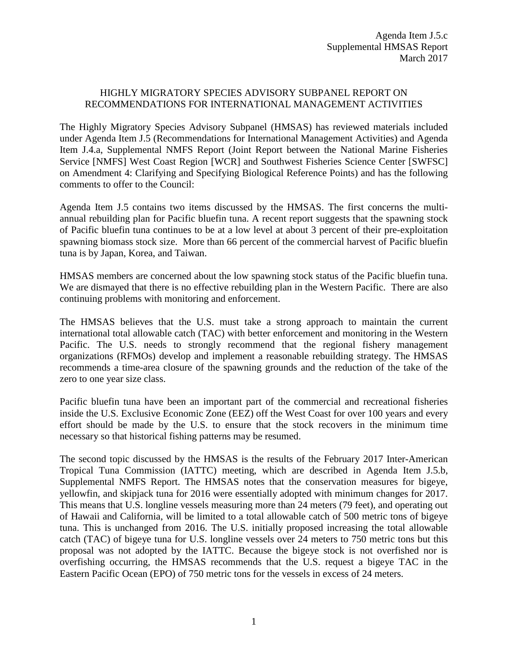## HIGHLY MIGRATORY SPECIES ADVISORY SUBPANEL REPORT ON RECOMMENDATIONS FOR INTERNATIONAL MANAGEMENT ACTIVITIES

The Highly Migratory Species Advisory Subpanel (HMSAS) has reviewed materials included under Agenda Item J.5 (Recommendations for International Management Activities) and Agenda Item J.4.a, Supplemental NMFS Report (Joint Report between the National Marine Fisheries Service [NMFS] West Coast Region [WCR] and Southwest Fisheries Science Center [SWFSC] on Amendment 4: Clarifying and Specifying Biological Reference Points) and has the following comments to offer to the Council:

Agenda Item J.5 contains two items discussed by the HMSAS. The first concerns the multiannual rebuilding plan for Pacific bluefin tuna. A recent report suggests that the spawning stock of Pacific bluefin tuna continues to be at a low level at about 3 percent of their pre-exploitation spawning biomass stock size. More than 66 percent of the commercial harvest of Pacific bluefin tuna is by Japan, Korea, and Taiwan.

HMSAS members are concerned about the low spawning stock status of the Pacific bluefin tuna. We are dismayed that there is no effective rebuilding plan in the Western Pacific. There are also continuing problems with monitoring and enforcement.

The HMSAS believes that the U.S. must take a strong approach to maintain the current international total allowable catch (TAC) with better enforcement and monitoring in the Western Pacific. The U.S. needs to strongly recommend that the regional fishery management organizations (RFMOs) develop and implement a reasonable rebuilding strategy. The HMSAS recommends a time-area closure of the spawning grounds and the reduction of the take of the zero to one year size class.

Pacific bluefin tuna have been an important part of the commercial and recreational fisheries inside the U.S. Exclusive Economic Zone (EEZ) off the West Coast for over 100 years and every effort should be made by the U.S. to ensure that the stock recovers in the minimum time necessary so that historical fishing patterns may be resumed.

The second topic discussed by the HMSAS is the results of the February 2017 Inter-American Tropical Tuna Commission (IATTC) meeting, which are described in Agenda Item J.5.b, Supplemental NMFS Report. The HMSAS notes that the conservation measures for bigeye, yellowfin, and skipjack tuna for 2016 were essentially adopted with minimum changes for 2017. This means that U.S. longline vessels measuring more than 24 meters (79 feet), and operating out of Hawaii and California, will be limited to a total allowable catch of 500 metric tons of bigeye tuna. This is unchanged from 2016. The U.S. initially proposed increasing the total allowable catch (TAC) of bigeye tuna for U.S. longline vessels over 24 meters to 750 metric tons but this proposal was not adopted by the IATTC. Because the bigeye stock is not overfished nor is overfishing occurring, the HMSAS recommends that the U.S. request a bigeye TAC in the Eastern Pacific Ocean (EPO) of 750 metric tons for the vessels in excess of 24 meters.